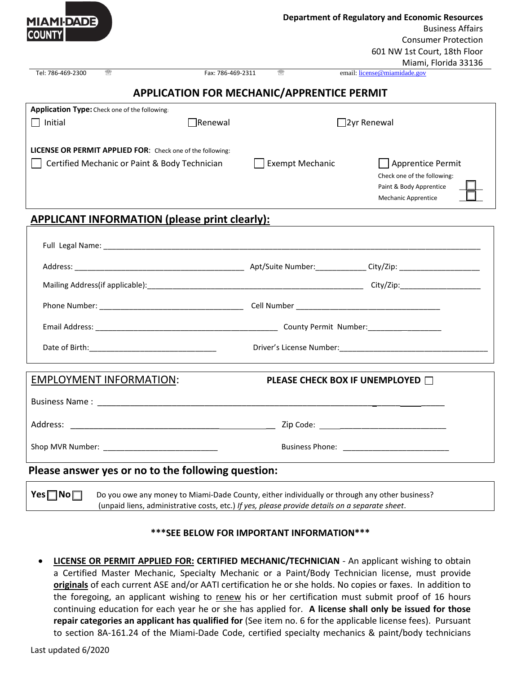| <b>MIAMI-DADE</b><br><b>COUNTY</b>                                                                                                                                                                                            |                   |                        |                    | <b>Department of Regulatory and Economic Resources</b><br><b>Business Affairs</b>                         |  |  |
|-------------------------------------------------------------------------------------------------------------------------------------------------------------------------------------------------------------------------------|-------------------|------------------------|--------------------|-----------------------------------------------------------------------------------------------------------|--|--|
|                                                                                                                                                                                                                               |                   |                        |                    | <b>Consumer Protection</b><br>601 NW 1st Court, 18th Floor<br>Miami, Florida 33136                        |  |  |
| Tel: 786-469-2300<br>靈                                                                                                                                                                                                        | Fax: 786-469-2311 | 靈                      |                    | email: license@miamidade.gov                                                                              |  |  |
| <b>APPLICATION FOR MECHANIC/APPRENTICE PERMIT</b>                                                                                                                                                                             |                   |                        |                    |                                                                                                           |  |  |
| Application Type: Check one of the following:                                                                                                                                                                                 |                   |                        |                    |                                                                                                           |  |  |
| $\Box$ Initial                                                                                                                                                                                                                | $\Box$ Renewal    |                        | $\Box$ 2yr Renewal |                                                                                                           |  |  |
| LICENSE OR PERMIT APPLIED FOR: Check one of the following:                                                                                                                                                                    |                   |                        |                    |                                                                                                           |  |  |
| Certified Mechanic or Paint & Body Technician                                                                                                                                                                                 |                   | <b>Exempt Mechanic</b> |                    | Apprentice Permit<br>Check one of the following:<br>Paint & Body Apprentice<br><b>Mechanic Apprentice</b> |  |  |
| <b>APPLICANT INFORMATION (please print clearly):</b>                                                                                                                                                                          |                   |                        |                    |                                                                                                           |  |  |
|                                                                                                                                                                                                                               |                   |                        |                    |                                                                                                           |  |  |
|                                                                                                                                                                                                                               |                   |                        |                    |                                                                                                           |  |  |
| Mailing Address(if applicable): example and a set of the set of the set of the set of the set of the set of the set of the set of the set of the set of the set of the set of the set of the set of the set of the set of the |                   |                        |                    |                                                                                                           |  |  |
|                                                                                                                                                                                                                               |                   |                        |                    |                                                                                                           |  |  |
|                                                                                                                                                                                                                               |                   |                        |                    |                                                                                                           |  |  |
|                                                                                                                                                                                                                               |                   |                        |                    |                                                                                                           |  |  |
| <b>EMPLOYMENT INFORMATION:</b>                                                                                                                                                                                                |                   |                        |                    | PLEASE CHECK BOX IF UNEMPLOYED □                                                                          |  |  |
|                                                                                                                                                                                                                               |                   |                        |                    |                                                                                                           |  |  |
|                                                                                                                                                                                                                               |                   |                        |                    |                                                                                                           |  |  |
|                                                                                                                                                                                                                               |                   |                        |                    |                                                                                                           |  |  |
| Please answer yes or no to the following question:                                                                                                                                                                            |                   |                        |                    |                                                                                                           |  |  |
|                                                                                                                                                                                                                               |                   |                        |                    |                                                                                                           |  |  |

**Yes <b>No** Bo you owe any money to Miami-Dade County, either individually or through any other business? (unpaid liens, administrative costs, etc.) *If yes, please provide details on a separate sheet*.

## **\*\*\*SEE BELOW FOR IMPORTANT INFORMATION\*\*\***

• **LICENSE OR PERMIT APPLIED FOR: CERTIFIED MECHANIC/TECHNICIAN** - An applicant wishing to obtain a Certified Master Mechanic, Specialty Mechanic or a Paint/Body Technician license, must provide **originals** of each current ASE and/or AATI certification he or she holds. No copies or faxes. In addition to the foregoing, an applicant wishing to renew his or her certification must submit proof of 16 hours continuing education for each year he or she has applied for. **A license shall only be issued for those repair categories an applicant has qualified for** (See item no. 6 for the applicable license fees). Pursuant to section 8A-161.24 of the Miami-Dade Code, certified specialty mechanics & paint/body technicians